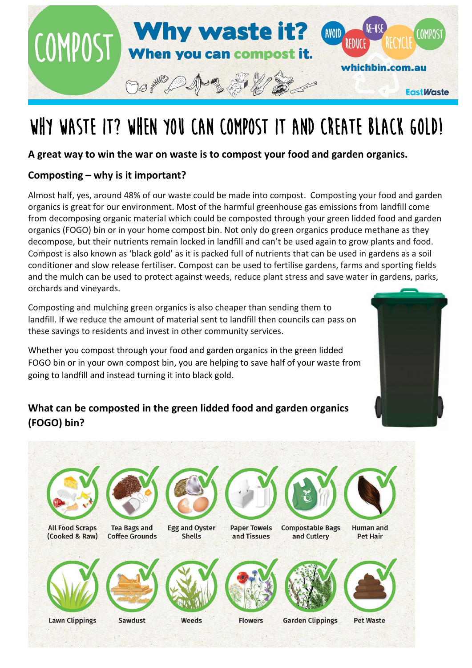

# WHY WASTE IT? WHEN YOU CAN COMPOST IT AND CREATE BLACK GOLD!

#### **A great way to win the war on waste is to compost your food and garden organics.**

#### **Composting – why is it important?**

Almost half, yes, around 48% of our waste could be made into compost. Composting your food and garden organics is great for our environment. Most of the harmful greenhouse gas emissions from landfill come from decomposing organic material which could be composted through your green lidded food and garden organics (FOGO) bin or in your home compost bin. Not only do green organics produce methane as they decompose, but their nutrients remain locked in landfill and can't be used again to grow plants and food. Compost is also known as 'black gold' as it is packed full of nutrients that can be used in gardens as a soil conditioner and slow release fertiliser. Compost can be used to fertilise gardens, farms and sporting fields and the mulch can be used to protect against weeds, reduce plant stress and save water in gardens, parks, orchards and vineyards.

Composting and mulching green organics is also cheaper than sending them to landfill. If we reduce the amount of material sent to landfill then councils can pass on these savings to residents and invest in other community services.

Whether you compost through your food and garden organics in the green lidded FOGO bin or in your own compost bin, you are helping to save half of your waste from going to landfill and instead turning it into black gold.

### **What can be composted in the green lidded food and garden organics (FOGO) bin?**